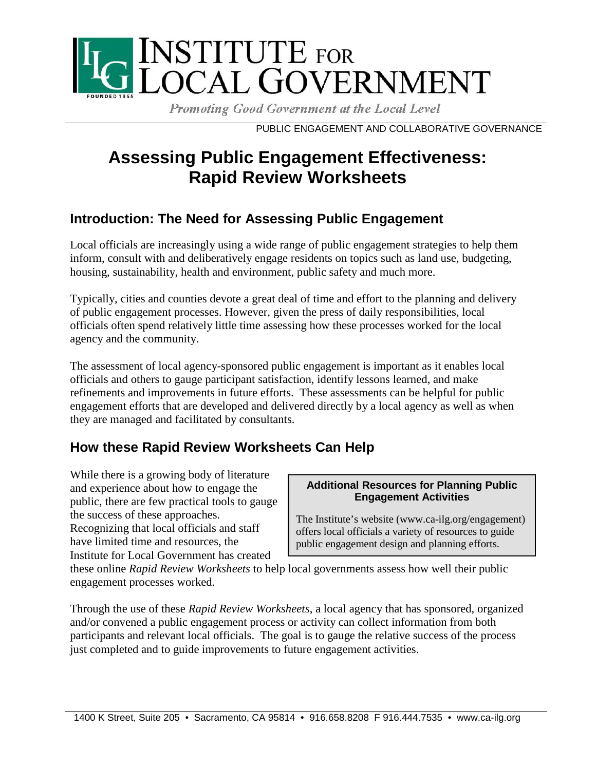

Promoting Good Government at the Local Level

PUBLIC ENGAGEMENT AND COLLABORATIVE GOVERNANCE

# **Assessing Public Engagement Effectiveness: Rapid Review Worksheets**

## **Introduction: The Need for Assessing Public Engagement**

Local officials are increasingly using a wide range of public engagement strategies to help them inform, consult with and deliberatively engage residents on topics such as land use, budgeting, housing, sustainability, health and environment, public safety and much more.

Typically, cities and counties devote a great deal of time and effort to the planning and delivery of public engagement processes. However, given the press of daily responsibilities, local officials often spend relatively little time assessing how these processes worked for the local agency and the community.

The assessment of local agency-sponsored public engagement is important as it enables local officials and others to gauge participant satisfaction, identify lessons learned, and make refinements and improvements in future efforts. These assessments can be helpful for public engagement efforts that are developed and delivered directly by a local agency as well as when they are managed and facilitated by consultants.

## **How these Rapid Review Worksheets Can Help**

While there is a growing body of literature and experience about how to engage the public, there are few practical tools to gauge the success of these approaches. Recognizing that local officials and staff have limited time and resources, the Institute for Local Government has created

### **Additional Resources for Planning Public Engagement Activities**

The Institute's website (www.ca-ilg.org/engagement) offers local officials a variety of resources to guide public engagement design and planning efforts.

these online *Rapid Review Worksheets* to help local governments assess how well their public engagement processes worked.

Through the use of these *Rapid Review Worksheets*, a local agency that has sponsored, organized and/or convened a public engagement process or activity can collect information from both participants and relevant local officials. The goal is to gauge the relative success of the process just completed and to guide improvements to future engagement activities.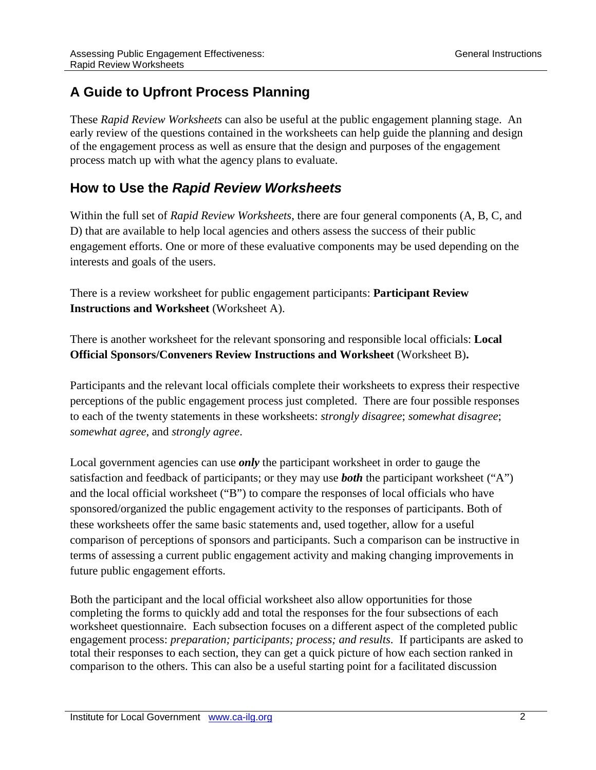# **A Guide to Upfront Process Planning**

These *Rapid Review Worksheets* can also be useful at the public engagement planning stage. An early review of the questions contained in the worksheets can help guide the planning and design of the engagement process as well as ensure that the design and purposes of the engagement process match up with what the agency plans to evaluate.

### **How to Use the** *Rapid Review Worksheets*

Within the full set of *Rapid Review Worksheets*, there are four general components (A, B, C, and D) that are available to help local agencies and others assess the success of their public engagement efforts. One or more of these evaluative components may be used depending on the interests and goals of the users.

There is a review worksheet for public engagement participants: **Participant Review Instructions and Worksheet** (Worksheet A).

There is another worksheet for the relevant sponsoring and responsible local officials: **Local Official Sponsors/Conveners Review Instructions and Worksheet** (Worksheet B)**.** 

Participants and the relevant local officials complete their worksheets to express their respective perceptions of the public engagement process just completed. There are four possible responses to each of the twenty statements in these worksheets: *strongly disagree*; *somewhat disagree*; *somewhat agree*, and *strongly agree*.

Local government agencies can use *only* the participant worksheet in order to gauge the satisfaction and feedback of participants; or they may use *both* the participant worksheet ("A") and the local official worksheet ("B") to compare the responses of local officials who have sponsored/organized the public engagement activity to the responses of participants. Both of these worksheets offer the same basic statements and, used together, allow for a useful comparison of perceptions of sponsors and participants. Such a comparison can be instructive in terms of assessing a current public engagement activity and making changing improvements in future public engagement efforts.

Both the participant and the local official worksheet also allow opportunities for those completing the forms to quickly add and total the responses for the four subsections of each worksheet questionnaire. Each subsection focuses on a different aspect of the completed public engagement process: *preparation; participants; process; and results*. If participants are asked to total their responses to each section, they can get a quick picture of how each section ranked in comparison to the others. This can also be a useful starting point for a facilitated discussion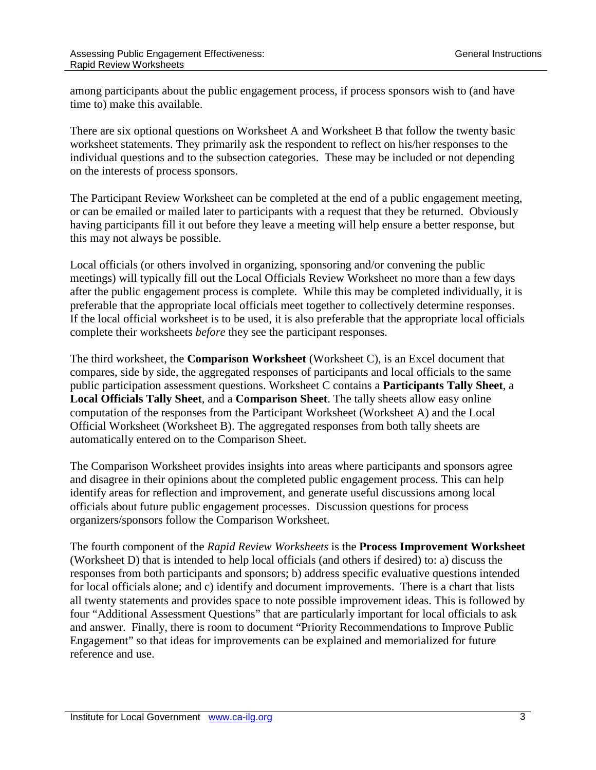among participants about the public engagement process, if process sponsors wish to (and have time to) make this available.

There are six optional questions on Worksheet A and Worksheet B that follow the twenty basic worksheet statements. They primarily ask the respondent to reflect on his/her responses to the individual questions and to the subsection categories. These may be included or not depending on the interests of process sponsors.

The Participant Review Worksheet can be completed at the end of a public engagement meeting, or can be emailed or mailed later to participants with a request that they be returned. Obviously having participants fill it out before they leave a meeting will help ensure a better response, but this may not always be possible.

Local officials (or others involved in organizing, sponsoring and/or convening the public meetings) will typically fill out the Local Officials Review Worksheet no more than a few days after the public engagement process is complete. While this may be completed individually, it is preferable that the appropriate local officials meet together to collectively determine responses. If the local official worksheet is to be used, it is also preferable that the appropriate local officials complete their worksheets *before* they see the participant responses.

The third worksheet, the **Comparison Worksheet** (Worksheet C), is an Excel document that compares, side by side, the aggregated responses of participants and local officials to the same public participation assessment questions. Worksheet C contains a **Participants Tally Sheet**, a **Local Officials Tally Sheet**, and a **Comparison Sheet**. The tally sheets allow easy online computation of the responses from the Participant Worksheet (Worksheet A) and the Local Official Worksheet (Worksheet B). The aggregated responses from both tally sheets are automatically entered on to the Comparison Sheet.

The Comparison Worksheet provides insights into areas where participants and sponsors agree and disagree in their opinions about the completed public engagement process. This can help identify areas for reflection and improvement, and generate useful discussions among local officials about future public engagement processes. Discussion questions for process organizers/sponsors follow the Comparison Worksheet.

The fourth component of the *Rapid Review Worksheets* is the **Process Improvement Worksheet** (Worksheet D) that is intended to help local officials (and others if desired) to: a) discuss the responses from both participants and sponsors; b) address specific evaluative questions intended for local officials alone; and c) identify and document improvements. There is a chart that lists all twenty statements and provides space to note possible improvement ideas. This is followed by four "Additional Assessment Questions" that are particularly important for local officials to ask and answer. Finally, there is room to document "Priority Recommendations to Improve Public Engagement" so that ideas for improvements can be explained and memorialized for future reference and use.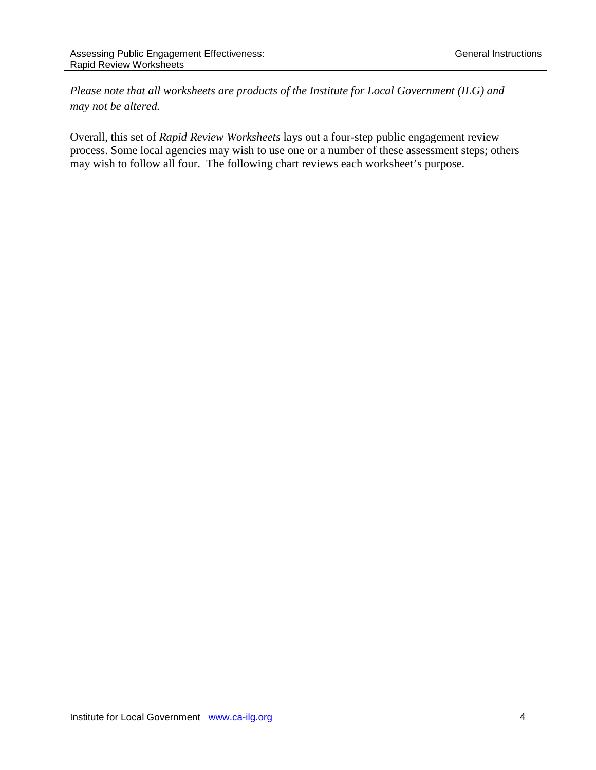*Please note that all worksheets are products of the Institute for Local Government (ILG) and may not be altered.* 

Overall, this set of *Rapid Review Worksheets* lays out a four-step public engagement review process. Some local agencies may wish to use one or a number of these assessment steps; others may wish to follow all four. The following chart reviews each worksheet's purpose.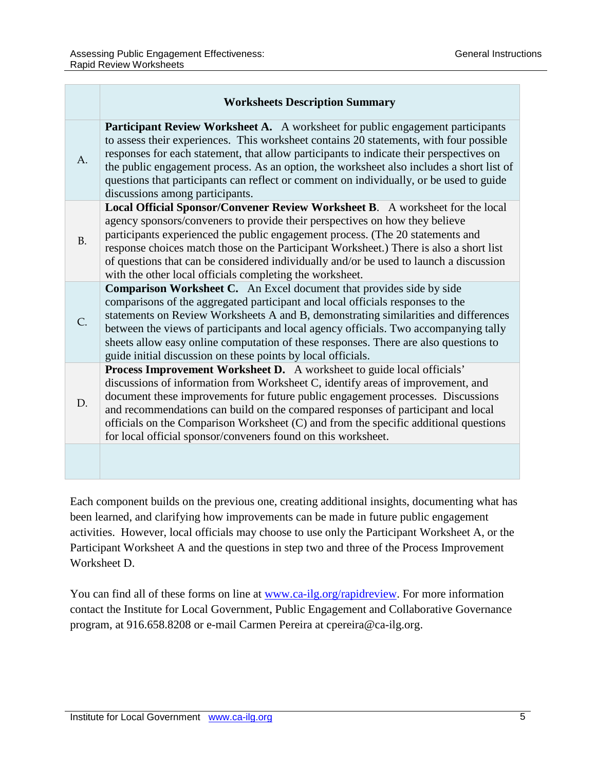|           | <b>Worksheets Description Summary</b>                                                                                                                                                                                                                                                                                                                                                                                                                                                                |
|-----------|------------------------------------------------------------------------------------------------------------------------------------------------------------------------------------------------------------------------------------------------------------------------------------------------------------------------------------------------------------------------------------------------------------------------------------------------------------------------------------------------------|
| A.        | <b>Participant Review Worksheet A.</b> A worksheet for public engagement participants<br>to assess their experiences. This worksheet contains 20 statements, with four possible<br>responses for each statement, that allow participants to indicate their perspectives on<br>the public engagement process. As an option, the worksheet also includes a short list of<br>questions that participants can reflect or comment on individually, or be used to guide<br>discussions among participants. |
| <b>B.</b> | Local Official Sponsor/Convener Review Worksheet B. A worksheet for the local<br>agency sponsors/conveners to provide their perspectives on how they believe<br>participants experienced the public engagement process. (The 20 statements and<br>response choices match those on the Participant Worksheet.) There is also a short list<br>of questions that can be considered individually and/or be used to launch a discussion<br>with the other local officials completing the worksheet.       |
| C.        | <b>Comparison Worksheet C.</b> An Excel document that provides side by side<br>comparisons of the aggregated participant and local officials responses to the<br>statements on Review Worksheets A and B, demonstrating similarities and differences<br>between the views of participants and local agency officials. Two accompanying tally<br>sheets allow easy online computation of these responses. There are also questions to<br>guide initial discussion on these points by local officials. |
| D.        | Process Improvement Worksheet D. A worksheet to guide local officials'<br>discussions of information from Worksheet C, identify areas of improvement, and<br>document these improvements for future public engagement processes. Discussions<br>and recommendations can build on the compared responses of participant and local<br>officials on the Comparison Worksheet (C) and from the specific additional questions<br>for local official sponsor/conveners found on this worksheet.            |
|           |                                                                                                                                                                                                                                                                                                                                                                                                                                                                                                      |

Each component builds on the previous one, creating additional insights, documenting what has been learned, and clarifying how improvements can be made in future public engagement activities. However, local officials may choose to use only the Participant Worksheet A, or the Participant Worksheet A and the questions in step two and three of the Process Improvement Worksheet D.

You can find all of these forms on line at [www.ca-ilg.org/rapidreview.](http://www.ca-ilg.org/rapidreview) For more information contact the Institute for Local Government, Public Engagement and Collaborative Governance program, at 916.658.8208 or e-mail Carmen Pereira at cpereira@ca-ilg.org.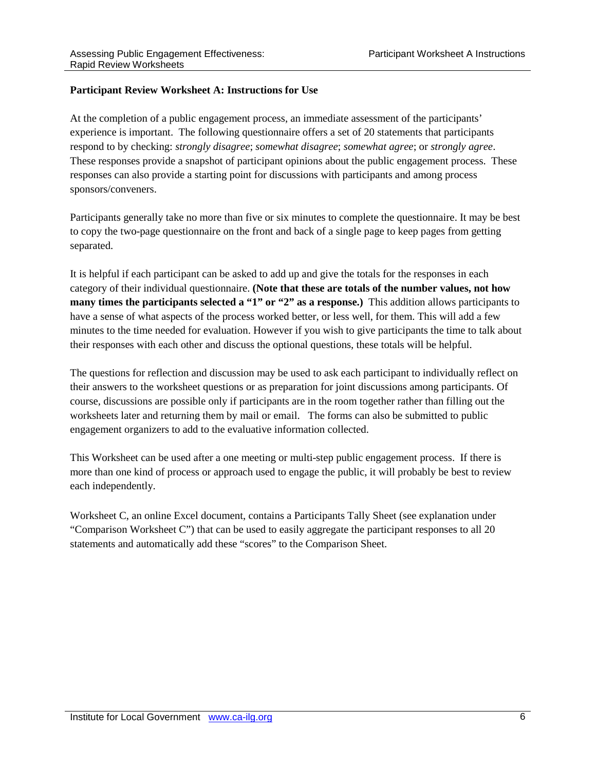#### **Participant Review Worksheet A: Instructions for Use**

At the completion of a public engagement process, an immediate assessment of the participants' experience is important. The following questionnaire offers a set of 20 statements that participants respond to by checking: *strongly disagree*; *somewhat disagree*; *somewhat agree*; or *strongly agree*. These responses provide a snapshot of participant opinions about the public engagement process. These responses can also provide a starting point for discussions with participants and among process sponsors/conveners.

Participants generally take no more than five or six minutes to complete the questionnaire. It may be best to copy the two-page questionnaire on the front and back of a single page to keep pages from getting separated.

It is helpful if each participant can be asked to add up and give the totals for the responses in each category of their individual questionnaire. **(Note that these are totals of the number values, not how many times the participants selected a "1" or "2" as a response.)** This addition allows participants to have a sense of what aspects of the process worked better, or less well, for them. This will add a few minutes to the time needed for evaluation. However if you wish to give participants the time to talk about their responses with each other and discuss the optional questions, these totals will be helpful.

The questions for reflection and discussion may be used to ask each participant to individually reflect on their answers to the worksheet questions or as preparation for joint discussions among participants. Of course, discussions are possible only if participants are in the room together rather than filling out the worksheets later and returning them by mail or email. The forms can also be submitted to public engagement organizers to add to the evaluative information collected.

This Worksheet can be used after a one meeting or multi-step public engagement process. If there is more than one kind of process or approach used to engage the public, it will probably be best to review each independently.

Worksheet C, an online Excel document, contains a Participants Tally Sheet (see explanation under "Comparison Worksheet C") that can be used to easily aggregate the participant responses to all 20 statements and automatically add these "scores" to the Comparison Sheet.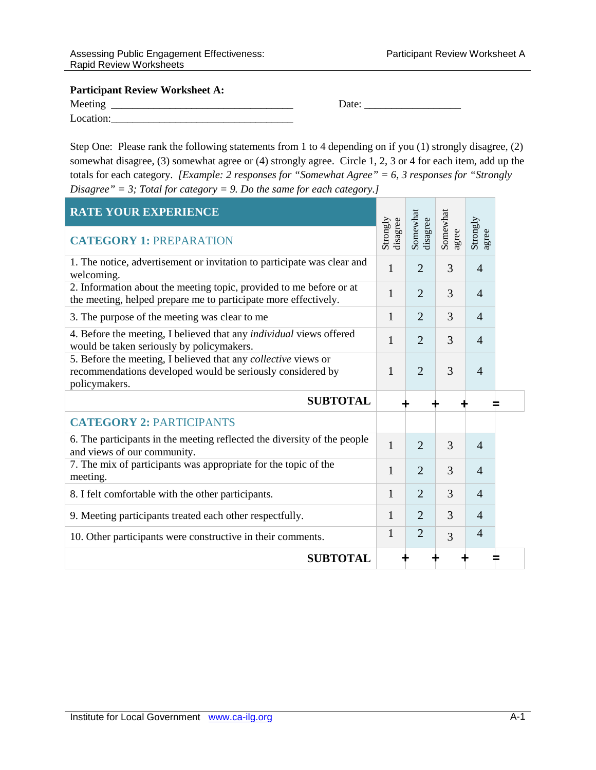Meeting \_\_\_\_\_\_\_\_\_\_\_\_\_\_\_\_\_\_\_\_\_\_\_\_\_\_\_\_\_\_\_\_\_\_ Date: \_\_\_\_\_\_\_\_\_\_\_\_\_\_\_\_\_\_

| Meeting   |  |
|-----------|--|
| Location: |  |

Step One: Please rank the following statements from 1 to 4 depending on if you (1) strongly disagree, (2) somewhat disagree, (3) somewhat agree or (4) strongly agree. Circle 1, 2, 3 or 4 for each item, add up the totals for each category. *[Example: 2 responses for "Somewhat Agree" = 6, 3 responses for "Strongly Disagree" = 3; Total for category = 9. Do the same for each category.]*

| <b>RATE YOUR EXPERIENCE</b>                                                                                                                   |                      |                      |                   |                   |
|-----------------------------------------------------------------------------------------------------------------------------------------------|----------------------|----------------------|-------------------|-------------------|
| <b>CATEGORY 1: PREPARATION</b>                                                                                                                | Strongly<br>disagree | Somewhat<br>disagree | Somewhat<br>agree | Strongly<br>agree |
| 1. The notice, advertisement or invitation to participate was clear and<br>welcoming.                                                         | $\mathbf{1}$         | $\overline{2}$       | 3                 | $\overline{4}$    |
| 2. Information about the meeting topic, provided to me before or at<br>the meeting, helped prepare me to participate more effectively.        | $\mathbf{1}$         | $\overline{2}$       | 3                 | $\overline{4}$    |
| 3. The purpose of the meeting was clear to me                                                                                                 | $\mathbf{1}$         | $\overline{2}$       | 3                 | $\overline{4}$    |
| 4. Before the meeting, I believed that any individual views offered<br>would be taken seriously by policymakers.                              | 1                    | $\overline{2}$       | 3                 | $\overline{4}$    |
| 5. Before the meeting, I believed that any collective views or<br>recommendations developed would be seriously considered by<br>policymakers. | $\mathbf{1}$         | $\overline{2}$       | 3                 | $\overline{4}$    |
| <b>SUBTOTAL</b>                                                                                                                               |                      |                      |                   |                   |
| <b>CATEGORY 2: PARTICIPANTS</b>                                                                                                               |                      |                      |                   |                   |
| 6. The participants in the meeting reflected the diversity of the people<br>and views of our community.                                       | $\mathbf{1}$         | $\overline{2}$       | 3                 | $\overline{4}$    |
| 7. The mix of participants was appropriate for the topic of the<br>meeting.                                                                   | $\mathbf{1}$         | $\overline{2}$       | 3                 | $\overline{4}$    |
| 8. I felt comfortable with the other participants.                                                                                            | $\mathbf{1}$         | $\overline{2}$       | 3                 | $\overline{4}$    |
| 9. Meeting participants treated each other respectfully.                                                                                      | $\mathbf{1}$         | $\overline{2}$       | 3                 | $\overline{4}$    |
|                                                                                                                                               |                      |                      |                   | $\overline{4}$    |
| 10. Other participants were constructive in their comments.                                                                                   | $\mathbf{1}$         | $\overline{2}$       | 3                 |                   |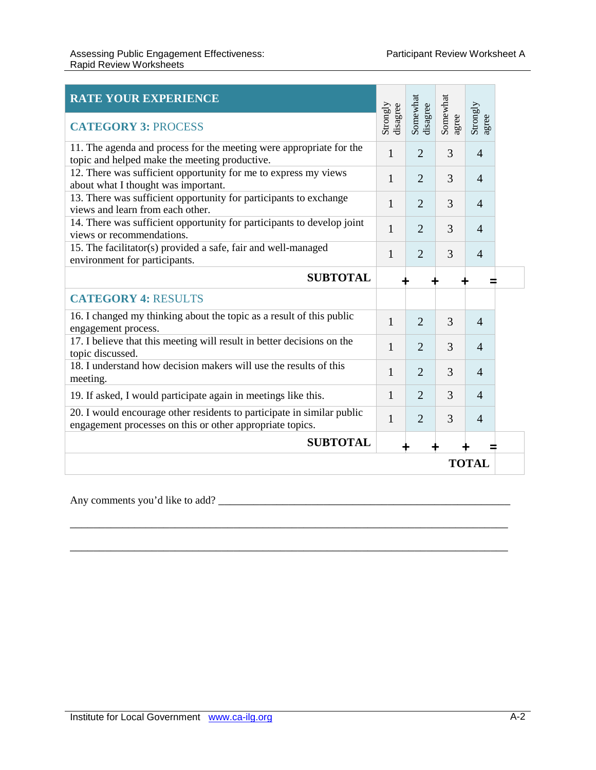| <b>RATE YOUR EXPERIENCE</b><br><b>CATEGORY 3: PROCESS</b>                                                                           | Strongly<br>disagree | Somewhat<br>disagree | Somewhat<br>agree | Strongly<br>agree |  |
|-------------------------------------------------------------------------------------------------------------------------------------|----------------------|----------------------|-------------------|-------------------|--|
| 11. The agenda and process for the meeting were appropriate for the<br>topic and helped make the meeting productive.                | 1                    | $\overline{2}$       | 3                 | $\overline{4}$    |  |
| 12. There was sufficient opportunity for me to express my views<br>about what I thought was important.                              | 1                    | $\overline{2}$       | 3                 | $\overline{4}$    |  |
| 13. There was sufficient opportunity for participants to exchange<br>views and learn from each other.                               | 1                    | $\overline{2}$       | 3                 | $\overline{4}$    |  |
| 14. There was sufficient opportunity for participants to develop joint<br>views or recommendations.                                 | $\mathbf{1}$         | $\overline{2}$       | 3                 | $\overline{4}$    |  |
| 15. The facilitator(s) provided a safe, fair and well-managed<br>environment for participants.                                      | 1                    | $\overline{2}$       | 3                 | $\overline{4}$    |  |
| <b>SUBTOTAL</b>                                                                                                                     |                      |                      |                   |                   |  |
| <b>CATEGORY 4: RESULTS</b>                                                                                                          |                      |                      |                   |                   |  |
| 16. I changed my thinking about the topic as a result of this public<br>engagement process.                                         | 1                    | $\overline{2}$       | 3                 | $\overline{4}$    |  |
| 17. I believe that this meeting will result in better decisions on the<br>topic discussed.                                          | 1                    | $\overline{2}$       | 3                 | $\overline{4}$    |  |
| 18. I understand how decision makers will use the results of this<br>meeting.                                                       | 1                    | $\overline{2}$       | 3                 | $\overline{4}$    |  |
| 19. If asked, I would participate again in meetings like this.                                                                      | 1                    | $\overline{2}$       | 3                 | $\overline{4}$    |  |
| 20. I would encourage other residents to participate in similar public<br>engagement processes on this or other appropriate topics. | $\mathbf{1}$         | $\overline{2}$       | 3                 | $\overline{4}$    |  |
| <b>SUBTOTAL</b>                                                                                                                     |                      |                      |                   |                   |  |
| <b>TOTAL</b>                                                                                                                        |                      |                      |                   |                   |  |

\_\_\_\_\_\_\_\_\_\_\_\_\_\_\_\_\_\_\_\_\_\_\_\_\_\_\_\_\_\_\_\_\_\_\_\_\_\_\_\_\_\_\_\_\_\_\_\_\_\_\_\_\_\_\_\_\_\_\_\_\_\_\_\_\_\_\_\_\_\_\_\_\_\_\_

\_\_\_\_\_\_\_\_\_\_\_\_\_\_\_\_\_\_\_\_\_\_\_\_\_\_\_\_\_\_\_\_\_\_\_\_\_\_\_\_\_\_\_\_\_\_\_\_\_\_\_\_\_\_\_\_\_\_\_\_\_\_\_\_\_\_\_\_\_\_\_\_\_\_\_

Any comments you'd like to add? \_\_\_\_\_\_\_\_\_\_\_\_\_\_\_\_\_\_\_\_\_\_\_\_\_\_\_\_\_\_\_\_\_\_\_\_\_\_\_\_\_\_\_\_\_\_\_\_\_\_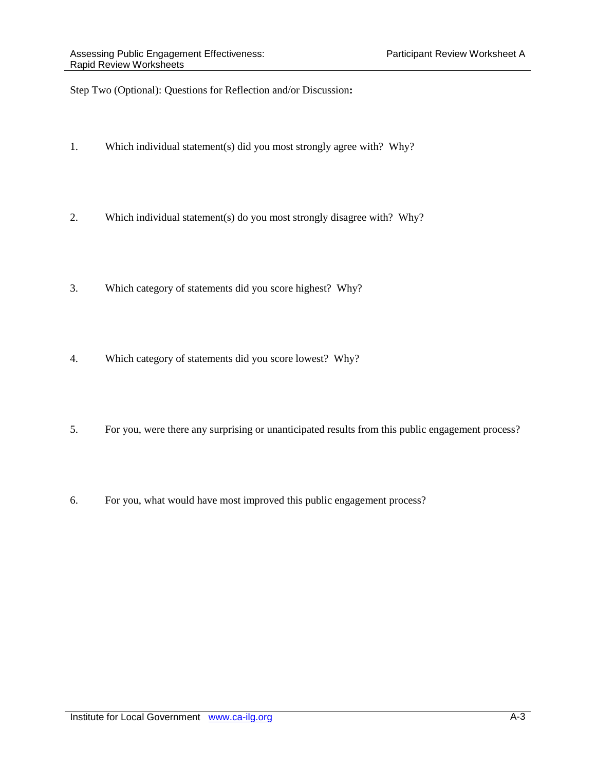Step Two (Optional): Questions for Reflection and/or Discussion**:**

- 1. Which individual statement(s) did you most strongly agree with? Why?
- 2. Which individual statement(s) do you most strongly disagree with? Why?
- 3. Which category of statements did you score highest? Why?
- 4. Which category of statements did you score lowest? Why?
- 5. For you, were there any surprising or unanticipated results from this public engagement process?
- 6. For you, what would have most improved this public engagement process?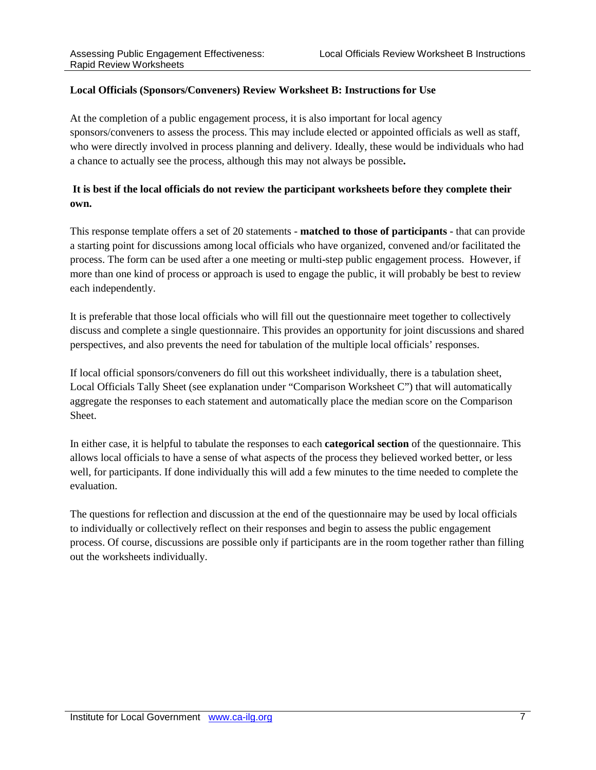#### **Local Officials (Sponsors/Conveners) Review Worksheet B: Instructions for Use**

At the completion of a public engagement process, it is also important for local agency sponsors/conveners to assess the process. This may include elected or appointed officials as well as staff, who were directly involved in process planning and delivery. Ideally, these would be individuals who had a chance to actually see the process, although this may not always be possible**.** 

### **It is best if the local officials do not review the participant worksheets before they complete their own.**

This response template offers a set of 20 statements - **matched to those of participants** - that can provide a starting point for discussions among local officials who have organized, convened and/or facilitated the process. The form can be used after a one meeting or multi-step public engagement process. However, if more than one kind of process or approach is used to engage the public, it will probably be best to review each independently.

It is preferable that those local officials who will fill out the questionnaire meet together to collectively discuss and complete a single questionnaire. This provides an opportunity for joint discussions and shared perspectives, and also prevents the need for tabulation of the multiple local officials' responses.

If local official sponsors/conveners do fill out this worksheet individually, there is a tabulation sheet, Local Officials Tally Sheet (see explanation under "Comparison Worksheet C") that will automatically aggregate the responses to each statement and automatically place the median score on the Comparison Sheet.

In either case, it is helpful to tabulate the responses to each **categorical section** of the questionnaire. This allows local officials to have a sense of what aspects of the process they believed worked better, or less well, for participants. If done individually this will add a few minutes to the time needed to complete the evaluation.

The questions for reflection and discussion at the end of the questionnaire may be used by local officials to individually or collectively reflect on their responses and begin to assess the public engagement process. Of course, discussions are possible only if participants are in the room together rather than filling out the worksheets individually.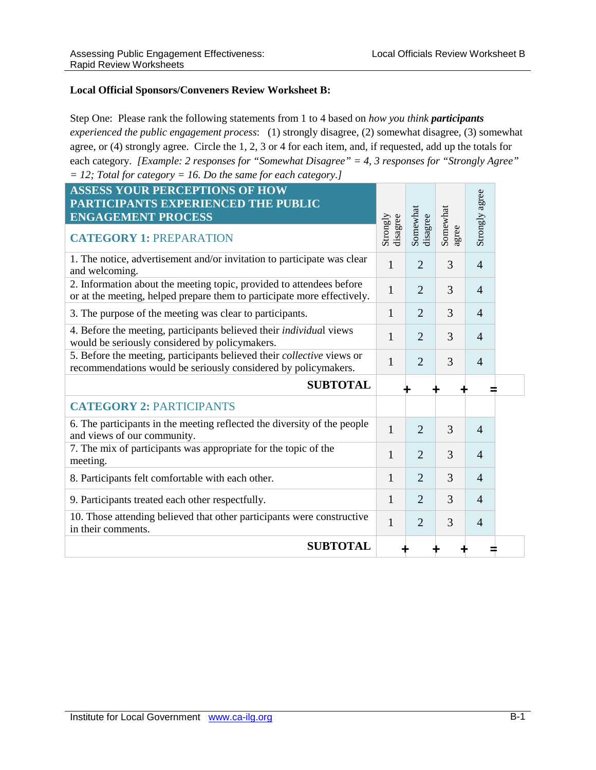#### **Local Official Sponsors/Conveners Review Worksheet B:**

Step One: Please rank the following statements from 1 to 4 based on *how you think participants experienced the public engagement process*: (1) strongly disagree, (2) somewhat disagree, (3) somewhat agree, or (4) strongly agree. Circle the 1, 2, 3 or 4 for each item, and, if requested, add up the totals for each category. *[Example: 2 responses for "Somewhat Disagree" = 4, 3 responses for "Strongly Agree" = 12; Total for category = 16. Do the same for each category.]*

| <b>ASSESS YOUR PERCEPTIONS OF HOW</b><br>PARTICIPANTS EXPERIENCED THE PUBLIC<br><b>ENGAGEMENT PROCESS</b>                                       | Strongly<br>disagree | Somewhat<br>disagree | Somewhat | Strongly agree |  |
|-------------------------------------------------------------------------------------------------------------------------------------------------|----------------------|----------------------|----------|----------------|--|
| <b>CATEGORY 1: PREPARATION</b>                                                                                                                  |                      |                      | agree    |                |  |
| 1. The notice, advertisement and/or invitation to participate was clear<br>and welcoming.                                                       | $\mathbf{1}$         | $\overline{2}$       | 3        | $\overline{4}$ |  |
| 2. Information about the meeting topic, provided to attendees before<br>or at the meeting, helped prepare them to participate more effectively. | $\mathbf{1}$         | $\overline{2}$       | 3        | $\overline{4}$ |  |
| 3. The purpose of the meeting was clear to participants.                                                                                        | $\mathbf{1}$         | $\overline{2}$       | 3        | $\overline{4}$ |  |
| 4. Before the meeting, participants believed their individual views<br>would be seriously considered by policymakers.                           | 1                    | $\overline{2}$       | 3        | $\overline{4}$ |  |
| 5. Before the meeting, participants believed their collective views or<br>recommendations would be seriously considered by policymakers.        | 1                    | $\overline{2}$       | 3        | $\overline{4}$ |  |
| <b>SUBTOTAL</b>                                                                                                                                 |                      |                      |          |                |  |
| <b>CATEGORY 2: PARTICIPANTS</b>                                                                                                                 |                      |                      |          |                |  |
| 6. The participants in the meeting reflected the diversity of the people<br>and views of our community.                                         | 1                    | $\overline{2}$       | 3        | $\overline{4}$ |  |
| 7. The mix of participants was appropriate for the topic of the<br>meeting.                                                                     | 1                    | $\overline{2}$       | 3        | $\overline{4}$ |  |
| 8. Participants felt comfortable with each other.                                                                                               | 1                    | $\overline{2}$       | 3        | $\overline{4}$ |  |
| 9. Participants treated each other respectfully.                                                                                                | 1                    | $\overline{2}$       | 3        | $\overline{4}$ |  |
| 10. Those attending believed that other participants were constructive<br>in their comments.                                                    | $\mathbf{1}$         | $\overline{2}$       | 3        | $\overline{4}$ |  |
| <b>SUBTOTAL</b>                                                                                                                                 |                      |                      |          |                |  |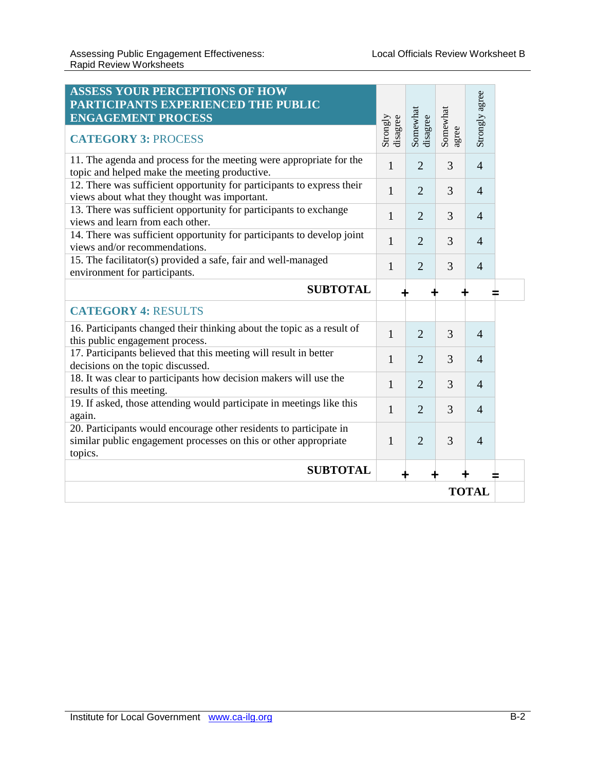| <b>ASSESS YOUR PERCEPTIONS OF HOW</b><br>PARTICIPANTS EXPERIENCED THE PUBLIC<br><b>ENGAGEMENT PROCESS</b><br><b>CATEGORY 3: PROCESS</b>           | Strongly<br>disagree | Somewhat<br>disagree | Somewhat<br>agree | Strongly agree |  |
|---------------------------------------------------------------------------------------------------------------------------------------------------|----------------------|----------------------|-------------------|----------------|--|
| 11. The agenda and process for the meeting were appropriate for the<br>topic and helped make the meeting productive.                              | 1                    | $\overline{2}$       | 3                 | $\overline{4}$ |  |
| 12. There was sufficient opportunity for participants to express their<br>views about what they thought was important.                            | 1                    | $\overline{2}$       | 3                 | $\overline{4}$ |  |
| 13. There was sufficient opportunity for participants to exchange<br>views and learn from each other.                                             | 1                    | $\overline{2}$       | 3                 | $\overline{4}$ |  |
| 14. There was sufficient opportunity for participants to develop joint<br>views and/or recommendations.                                           | 1                    | $\overline{2}$       | 3                 | $\overline{4}$ |  |
| 15. The facilitator(s) provided a safe, fair and well-managed<br>environment for participants.                                                    | 1                    | $\overline{2}$       | 3                 | $\overline{4}$ |  |
| <b>SUBTOTAL</b>                                                                                                                                   |                      |                      |                   |                |  |
| <b>CATEGORY 4: RESULTS</b>                                                                                                                        |                      |                      |                   |                |  |
| 16. Participants changed their thinking about the topic as a result of<br>this public engagement process.                                         | 1                    | $\overline{2}$       | 3                 | $\overline{4}$ |  |
| 17. Participants believed that this meeting will result in better<br>decisions on the topic discussed.                                            | 1                    | $\overline{2}$       | 3                 | $\overline{4}$ |  |
| 18. It was clear to participants how decision makers will use the<br>results of this meeting.                                                     | 1                    | $\overline{2}$       | 3                 | $\overline{4}$ |  |
| 19. If asked, those attending would participate in meetings like this<br>again.                                                                   | 1                    | $\overline{2}$       | 3                 | $\overline{4}$ |  |
| 20. Participants would encourage other residents to participate in<br>similar public engagement processes on this or other appropriate<br>topics. | 1                    | $\overline{2}$       | 3                 | $\overline{4}$ |  |
| <b>SUBTOTAL</b>                                                                                                                                   |                      |                      |                   |                |  |
| <b>TOTAL</b>                                                                                                                                      |                      |                      |                   |                |  |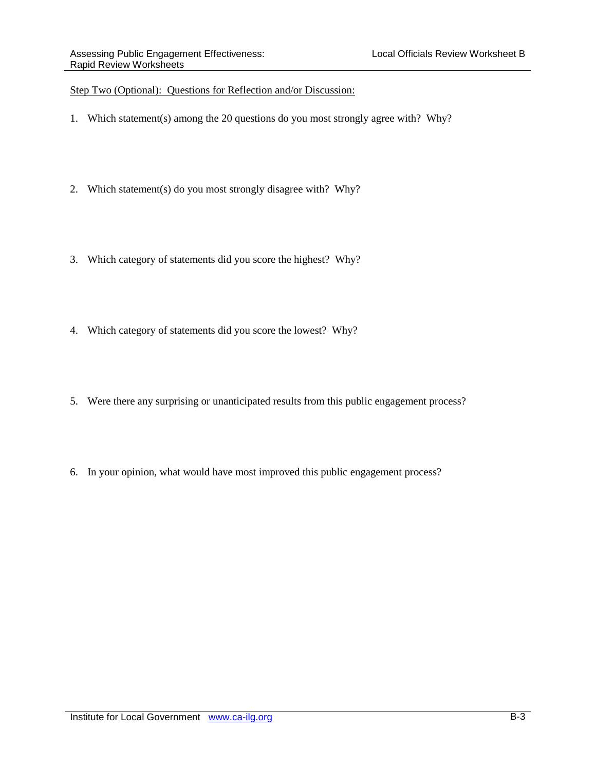#### Step Two (Optional): Questions for Reflection and/or Discussion:

- 1. Which statement(s) among the 20 questions do you most strongly agree with? Why?
- 2. Which statement(s) do you most strongly disagree with? Why?
- 3. Which category of statements did you score the highest? Why?
- 4. Which category of statements did you score the lowest? Why?
- 5. Were there any surprising or unanticipated results from this public engagement process?
- 6. In your opinion, what would have most improved this public engagement process?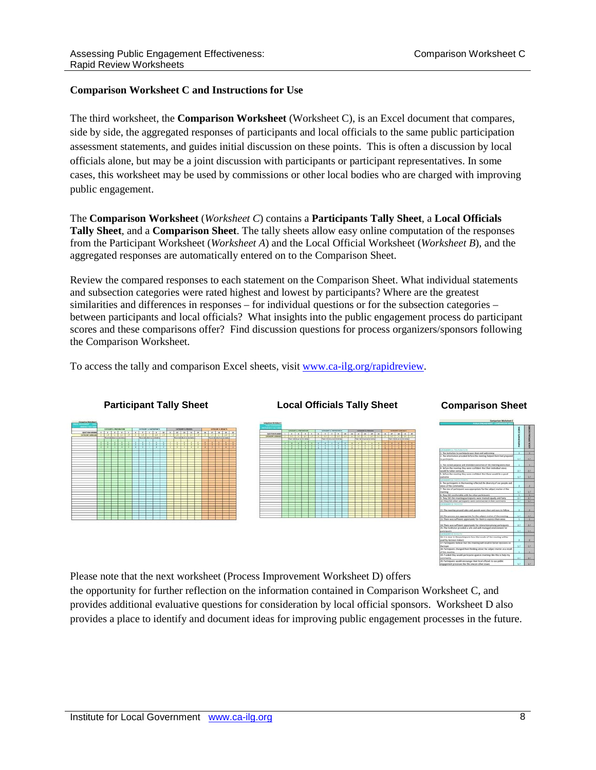#### **Comparison Worksheet C and Instructions for Use**

The third worksheet, the **Comparison Worksheet** (Worksheet C), is an Excel document that compares, side by side, the aggregated responses of participants and local officials to the same public participation assessment statements, and guides initial discussion on these points. This is often a discussion by local officials alone, but may be a joint discussion with participants or participant representatives. In some cases, this worksheet may be used by commissions or other local bodies who are charged with improving public engagement.

The **Comparison Worksheet** (*Worksheet C*) contains a **Participants Tally Sheet**, a **Local Officials Tally Sheet**, and a **Comparison Sheet**. The tally sheets allow easy online computation of the responses from the Participant Worksheet (*Worksheet A*) and the Local Official Worksheet (*Worksheet B*), and the aggregated responses are automatically entered on to the Comparison Sheet.

Review the compared responses to each statement on the Comparison Sheet. What individual statements and subsection categories were rated highest and lowest by participants? Where are the greatest similarities and differences in responses – for individual questions or for the subsection categories – between participants and local officials? What insights into the public engagement process do participant scores and these comparisons offer? Find discussion questions for process organizers/sponsors following the Comparison Worksheet.

To access the tally and comparison Excel sheets, visit [www.ca-ilg.org/rapidreview.](http://www.ca-ilg.org/rapidreview)





Please note that the next worksheet (Process Improvement Worksheet D) offers

the opportunity for further reflection on the information contained in Comparison Worksheet C, and provides additional evaluative questions for consideration by local official sponsors. Worksheet D also provides a place to identify and document ideas for improving public engagement processes in the future.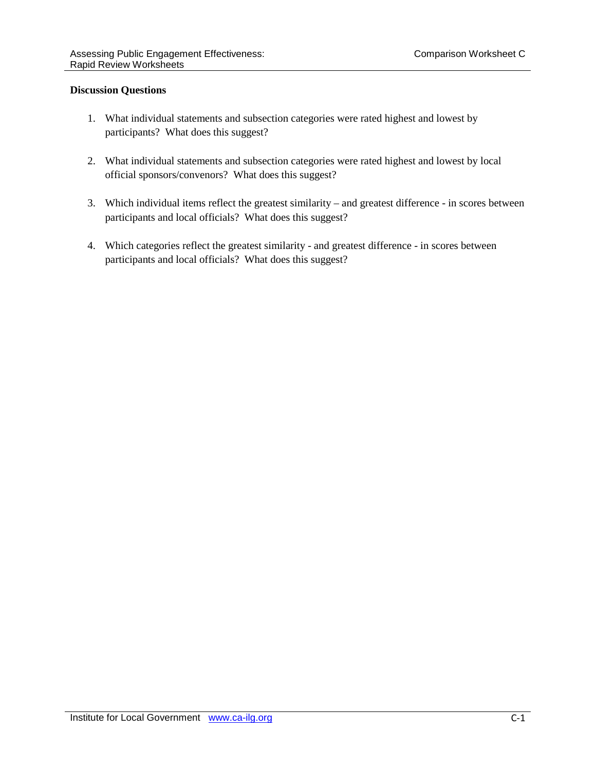#### **Discussion Questions**

- 1. What individual statements and subsection categories were rated highest and lowest by participants? What does this suggest?
- 2. What individual statements and subsection categories were rated highest and lowest by local official sponsors/convenors? What does this suggest?
- 3. Which individual items reflect the greatest similarity and greatest difference in scores between participants and local officials? What does this suggest?
- 4. Which categories reflect the greatest similarity and greatest difference in scores between participants and local officials? What does this suggest?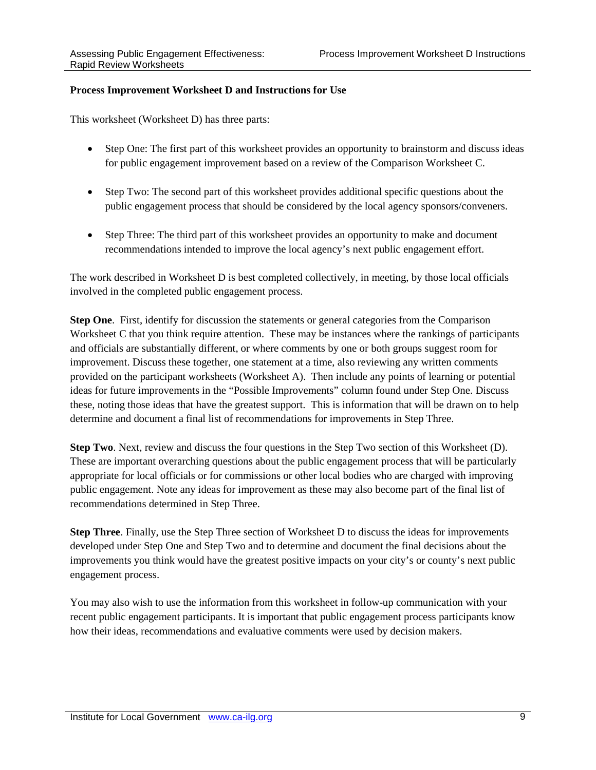#### **Process Improvement Worksheet D and Instructions for Use**

This worksheet (Worksheet D) has three parts:

- Step One: The first part of this worksheet provides an opportunity to brainstorm and discuss ideas for public engagement improvement based on a review of the Comparison Worksheet C.
- Step Two: The second part of this worksheet provides additional specific questions about the public engagement process that should be considered by the local agency sponsors/conveners.
- Step Three: The third part of this worksheet provides an opportunity to make and document recommendations intended to improve the local agency's next public engagement effort.

The work described in Worksheet D is best completed collectively, in meeting, by those local officials involved in the completed public engagement process.

**Step One**. First, identify for discussion the statements or general categories from the Comparison Worksheet C that you think require attention. These may be instances where the rankings of participants and officials are substantially different, or where comments by one or both groups suggest room for improvement. Discuss these together, one statement at a time, also reviewing any written comments provided on the participant worksheets (Worksheet A). Then include any points of learning or potential ideas for future improvements in the "Possible Improvements" column found under Step One. Discuss these, noting those ideas that have the greatest support. This is information that will be drawn on to help determine and document a final list of recommendations for improvements in Step Three.

**Step Two**. Next, review and discuss the four questions in the Step Two section of this Worksheet (D). These are important overarching questions about the public engagement process that will be particularly appropriate for local officials or for commissions or other local bodies who are charged with improving public engagement. Note any ideas for improvement as these may also become part of the final list of recommendations determined in Step Three.

**Step Three**. Finally, use the Step Three section of Worksheet D to discuss the ideas for improvements developed under Step One and Step Two and to determine and document the final decisions about the improvements you think would have the greatest positive impacts on your city's or county's next public engagement process.

You may also wish to use the information from this worksheet in follow-up communication with your recent public engagement participants. It is important that public engagement process participants know how their ideas, recommendations and evaluative comments were used by decision makers.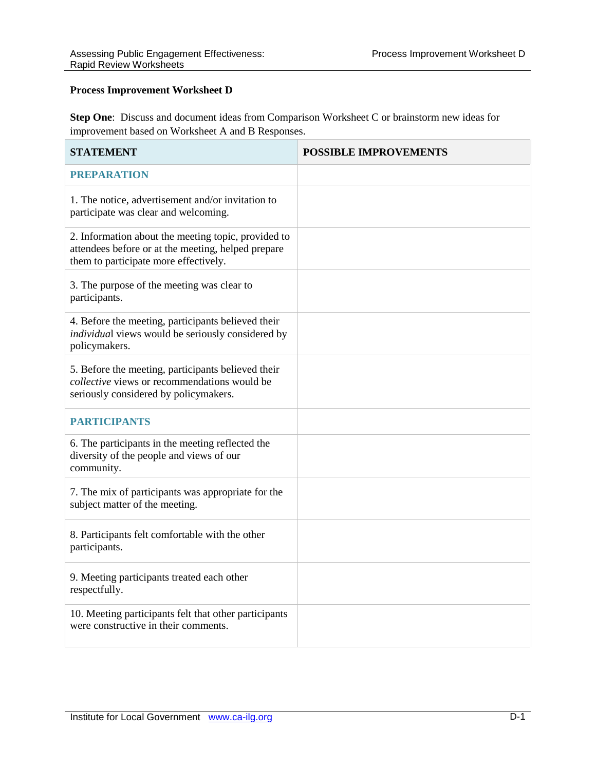#### **Process Improvement Worksheet D**

**Step One**: Discuss and document ideas from Comparison Worksheet C or brainstorm new ideas for improvement based on Worksheet A and B Responses.

| <b>STATEMENT</b>                                                                                                                                   | <b>POSSIBLE IMPROVEMENTS</b> |
|----------------------------------------------------------------------------------------------------------------------------------------------------|------------------------------|
| <b>PREPARATION</b>                                                                                                                                 |                              |
| 1. The notice, advertisement and/or invitation to<br>participate was clear and welcoming.                                                          |                              |
| 2. Information about the meeting topic, provided to<br>attendees before or at the meeting, helped prepare<br>them to participate more effectively. |                              |
| 3. The purpose of the meeting was clear to<br>participants.                                                                                        |                              |
| 4. Before the meeting, participants believed their<br>individual views would be seriously considered by<br>policymakers.                           |                              |
| 5. Before the meeting, participants believed their<br><i>collective</i> views or recommendations would be<br>seriously considered by policymakers. |                              |
| <b>PARTICIPANTS</b>                                                                                                                                |                              |
| 6. The participants in the meeting reflected the<br>diversity of the people and views of our<br>community.                                         |                              |
| 7. The mix of participants was appropriate for the<br>subject matter of the meeting.                                                               |                              |
| 8. Participants felt comfortable with the other<br>participants.                                                                                   |                              |
| 9. Meeting participants treated each other<br>respectfully.                                                                                        |                              |
| 10. Meeting participants felt that other participants<br>were constructive in their comments.                                                      |                              |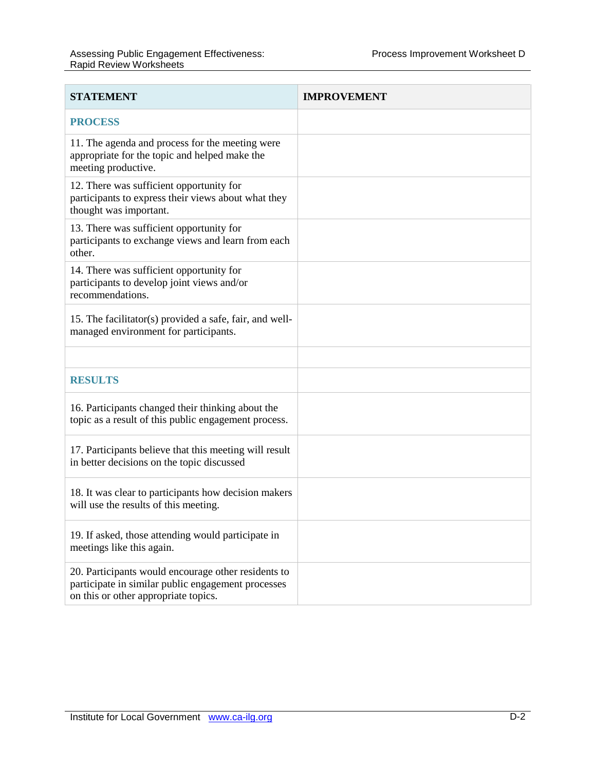| <b>STATEMENT</b>                                                                                                                                  | <b>IMPROVEMENT</b> |
|---------------------------------------------------------------------------------------------------------------------------------------------------|--------------------|
| <b>PROCESS</b>                                                                                                                                    |                    |
| 11. The agenda and process for the meeting were<br>appropriate for the topic and helped make the<br>meeting productive.                           |                    |
| 12. There was sufficient opportunity for<br>participants to express their views about what they<br>thought was important.                         |                    |
| 13. There was sufficient opportunity for<br>participants to exchange views and learn from each<br>other.                                          |                    |
| 14. There was sufficient opportunity for<br>participants to develop joint views and/or<br>recommendations.                                        |                    |
| 15. The facilitator(s) provided a safe, fair, and well-<br>managed environment for participants.                                                  |                    |
|                                                                                                                                                   |                    |
| <b>RESULTS</b>                                                                                                                                    |                    |
| 16. Participants changed their thinking about the<br>topic as a result of this public engagement process.                                         |                    |
| 17. Participants believe that this meeting will result<br>in better decisions on the topic discussed                                              |                    |
| 18. It was clear to participants how decision makers<br>will use the results of this meeting.                                                     |                    |
| 19. If asked, those attending would participate in<br>meetings like this again.                                                                   |                    |
| 20. Participants would encourage other residents to<br>participate in similar public engagement processes<br>on this or other appropriate topics. |                    |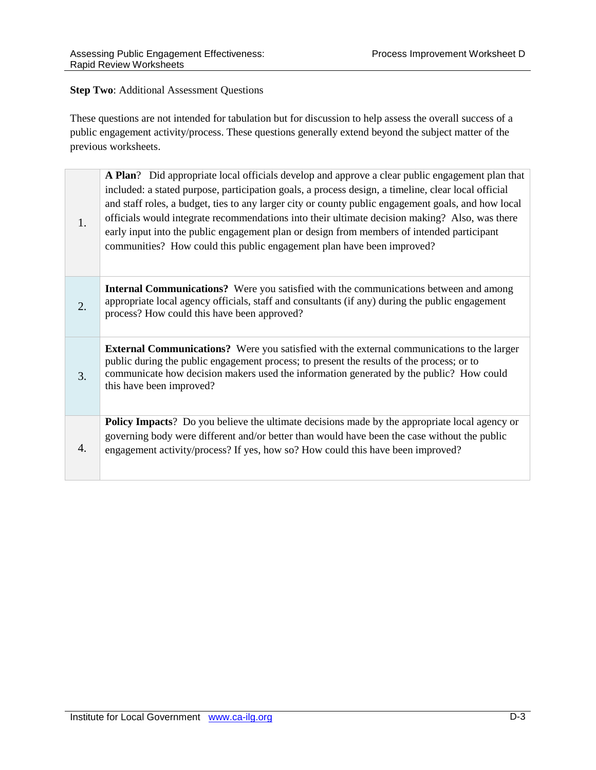#### **Step Two**: Additional Assessment Questions

These questions are not intended for tabulation but for discussion to help assess the overall success of a public engagement activity/process. These questions generally extend beyond the subject matter of the previous worksheets.

| 1.               | A Plan? Did appropriate local officials develop and approve a clear public engagement plan that<br>included: a stated purpose, participation goals, a process design, a timeline, clear local official<br>and staff roles, a budget, ties to any larger city or county public engagement goals, and how local<br>officials would integrate recommendations into their ultimate decision making? Also, was there<br>early input into the public engagement plan or design from members of intended participant<br>communities? How could this public engagement plan have been improved? |
|------------------|-----------------------------------------------------------------------------------------------------------------------------------------------------------------------------------------------------------------------------------------------------------------------------------------------------------------------------------------------------------------------------------------------------------------------------------------------------------------------------------------------------------------------------------------------------------------------------------------|
| 2.               | <b>Internal Communications?</b> Were you satisfied with the communications between and among<br>appropriate local agency officials, staff and consultants (if any) during the public engagement<br>process? How could this have been approved?                                                                                                                                                                                                                                                                                                                                          |
| 3.               | <b>External Communications?</b> Were you satisfied with the external communications to the larger<br>public during the public engagement process; to present the results of the process; or to<br>communicate how decision makers used the information generated by the public? How could<br>this have been improved?                                                                                                                                                                                                                                                                   |
| $\overline{4}$ . | <b>Policy Impacts</b> ? Do you believe the ultimate decisions made by the appropriate local agency or<br>governing body were different and/or better than would have been the case without the public<br>engagement activity/process? If yes, how so? How could this have been improved?                                                                                                                                                                                                                                                                                                |